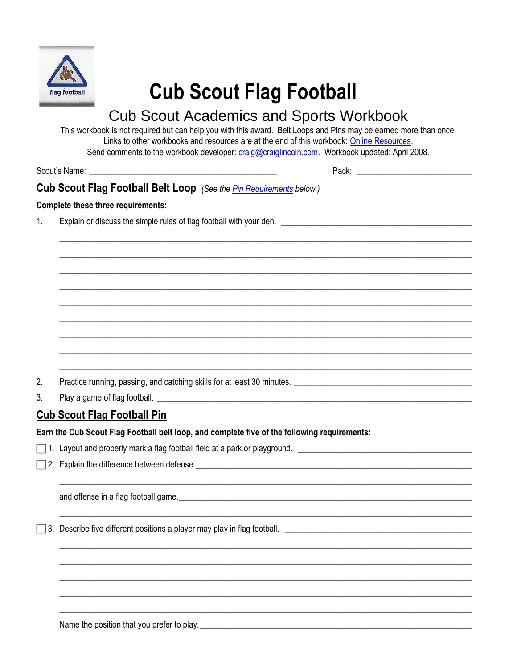

# **Cub Scout Flag Football**

## **Cub Scout Academics and Sports Workbook**

This workbook is not required but can help you with this award. Belt Loops and Pins may be earned more than once. Links to other workbooks and resources are at the end of this workbook: Online Resources. Send comments to the workbook developer: craig@craiglincoln.com. Workbook updated: April 2008.

Scout's Name:

Pack: Pack and the contract of the contract of the contract of the contract of the contract of the contract of the contract of the contract of the contract of the contract of the contract of the contract of the contract of

### **Cub Scout Flag Football Belt Loop** (See the Pin Requirements below.)

#### **Complete these three requirements:**

 $1<sub>1</sub>$ 

 $2.$ Practice running, passing, and catching skills for at least 30 minutes.

 $3<sub>1</sub>$ 

#### <span id="page-0-0"></span>**Cub Scout Flag Football Pin**

Earn the Cub Scout Flag Football belt loop, and complete five of the following requirements:

□ 2. Explain the difference between defense <u>\_\_\_\_\_\_\_\_\_\_\_\_\_\_\_\_\_\_\_\_\_\_\_\_\_\_</u>

and offense in a flag football game.

Name the position that you prefer to play.<br>
<u>
Letting and the problem</u> and the position that you prefer to play.